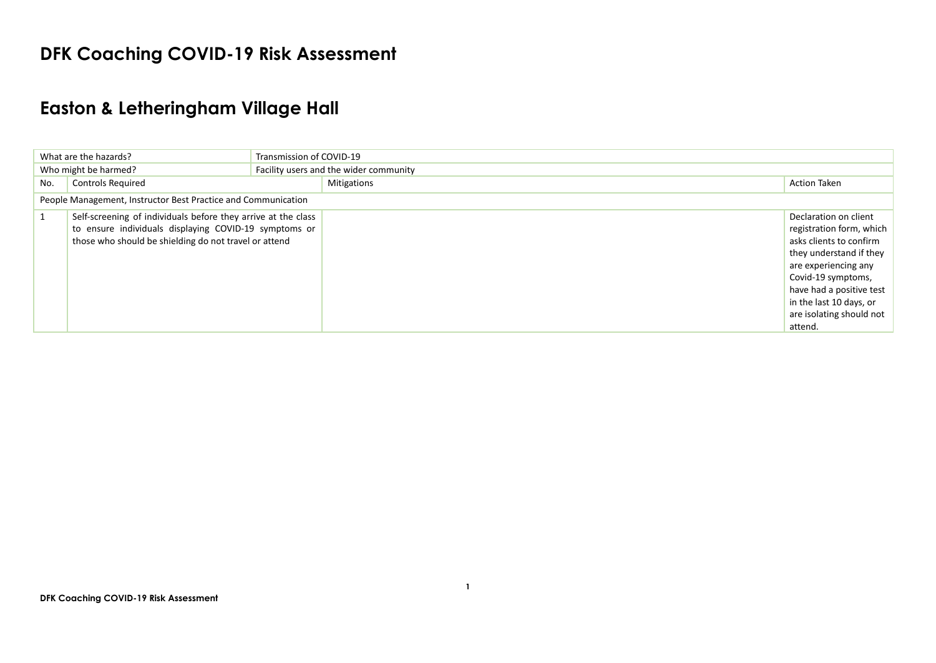## **DFK Coaching COVID-19 Risk Assessment**

## **Easton & Letheringham Village Hall**

| Transmission of COVID-19<br>What are the hazards? |                                                                                                                                                                                 |                                        |                                                                                                                                                                                                                                                     |
|---------------------------------------------------|---------------------------------------------------------------------------------------------------------------------------------------------------------------------------------|----------------------------------------|-----------------------------------------------------------------------------------------------------------------------------------------------------------------------------------------------------------------------------------------------------|
|                                                   | Who might be harmed?                                                                                                                                                            | Facility users and the wider community |                                                                                                                                                                                                                                                     |
| No.                                               | <b>Controls Required</b>                                                                                                                                                        | <b>Mitigations</b>                     | <b>Action Taken</b>                                                                                                                                                                                                                                 |
|                                                   | People Management, Instructor Best Practice and Communication                                                                                                                   |                                        |                                                                                                                                                                                                                                                     |
|                                                   | Self-screening of individuals before they arrive at the class<br>to ensure individuals displaying COVID-19 symptoms or<br>those who should be shielding do not travel or attend |                                        | Declaration on client<br>registration form, which<br>asks clients to confirm<br>they understand if they<br>are experiencing any<br>Covid-19 symptoms,<br>have had a positive test<br>in the last 10 days, or<br>are isolating should not<br>attend. |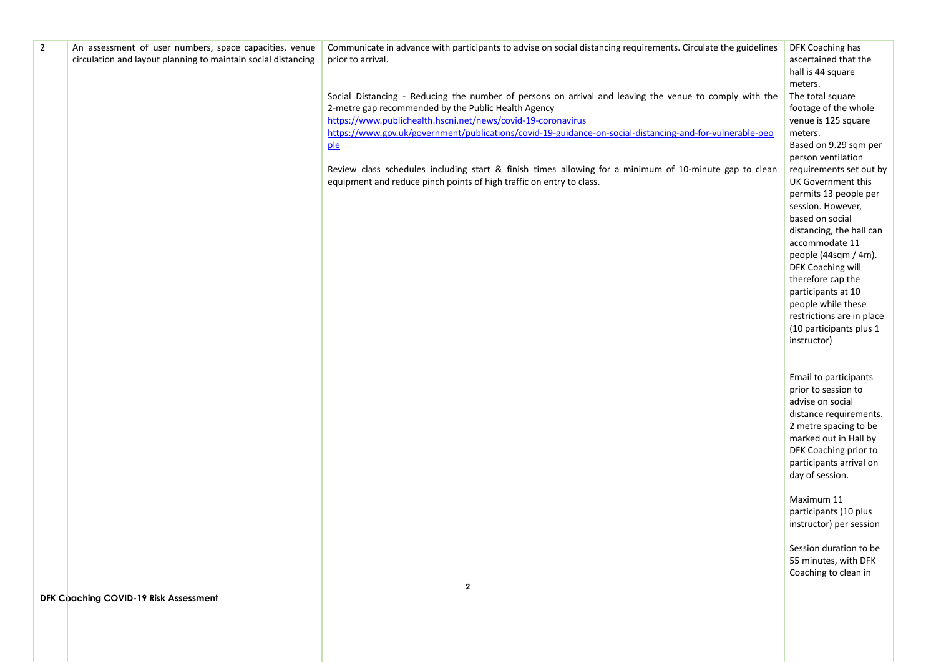| $\overline{2}$ | An assessment of user numbers, space capacities, venue        | Communicate in advance with participants to advise on social distancing requirements. Circulate the guidelines | DFK Coaching has                             |
|----------------|---------------------------------------------------------------|----------------------------------------------------------------------------------------------------------------|----------------------------------------------|
|                | circulation and layout planning to maintain social distancing | prior to arrival.                                                                                              | ascertained that the                         |
|                |                                                               |                                                                                                                | hall is 44 square<br>meters.                 |
|                |                                                               | Social Distancing - Reducing the number of persons on arrival and leaving the venue to comply with the         | The total square                             |
|                |                                                               | 2-metre gap recommended by the Public Health Agency                                                            | footage of the whole                         |
|                |                                                               | https://www.publichealth.hscni.net/news/covid-19-coronavirus                                                   | venue is 125 square                          |
|                |                                                               | https://www.gov.uk/government/publications/covid-19-guidance-on-social-distancing-and-for-vulnerable-peo       | meters.                                      |
|                |                                                               | ple                                                                                                            | Based on 9.29 sqm per                        |
|                |                                                               |                                                                                                                | person ventilation                           |
|                |                                                               | Review class schedules including start & finish times allowing for a minimum of 10-minute gap to clean         | requirements set out by                      |
|                |                                                               | equipment and reduce pinch points of high traffic on entry to class.                                           | UK Government this<br>permits 13 people per  |
|                |                                                               |                                                                                                                | session. However,                            |
|                |                                                               |                                                                                                                | based on social                              |
|                |                                                               |                                                                                                                | distancing, the hall can                     |
|                |                                                               |                                                                                                                | accommodate 11                               |
|                |                                                               |                                                                                                                | people (44sqm / 4m).                         |
|                |                                                               |                                                                                                                | DFK Coaching will<br>therefore cap the       |
|                |                                                               |                                                                                                                | participants at 10                           |
|                |                                                               |                                                                                                                | people while these                           |
|                |                                                               |                                                                                                                | restrictions are in place                    |
|                |                                                               |                                                                                                                | (10 participants plus 1                      |
|                |                                                               |                                                                                                                | instructor)                                  |
|                |                                                               |                                                                                                                |                                              |
|                |                                                               |                                                                                                                |                                              |
|                |                                                               |                                                                                                                | Email to participants<br>prior to session to |
|                |                                                               |                                                                                                                | advise on social                             |
|                |                                                               |                                                                                                                | distance requirements.                       |
|                |                                                               |                                                                                                                | 2 metre spacing to be                        |
|                |                                                               |                                                                                                                | marked out in Hall by                        |
|                |                                                               |                                                                                                                | DFK Coaching prior to                        |
|                |                                                               |                                                                                                                | participants arrival on                      |
|                |                                                               |                                                                                                                | day of session.                              |
|                |                                                               |                                                                                                                | Maximum 11                                   |
|                |                                                               |                                                                                                                | participants (10 plus                        |
|                |                                                               |                                                                                                                | instructor) per session                      |
|                |                                                               |                                                                                                                |                                              |
|                |                                                               |                                                                                                                | Session duration to be                       |
|                |                                                               |                                                                                                                | 55 minutes, with DFK                         |
|                |                                                               |                                                                                                                | Coaching to clean in                         |
|                | DFK Coaching COVID-19 Risk Assessment                         | $\mathbf{2}$                                                                                                   |                                              |
|                |                                                               |                                                                                                                |                                              |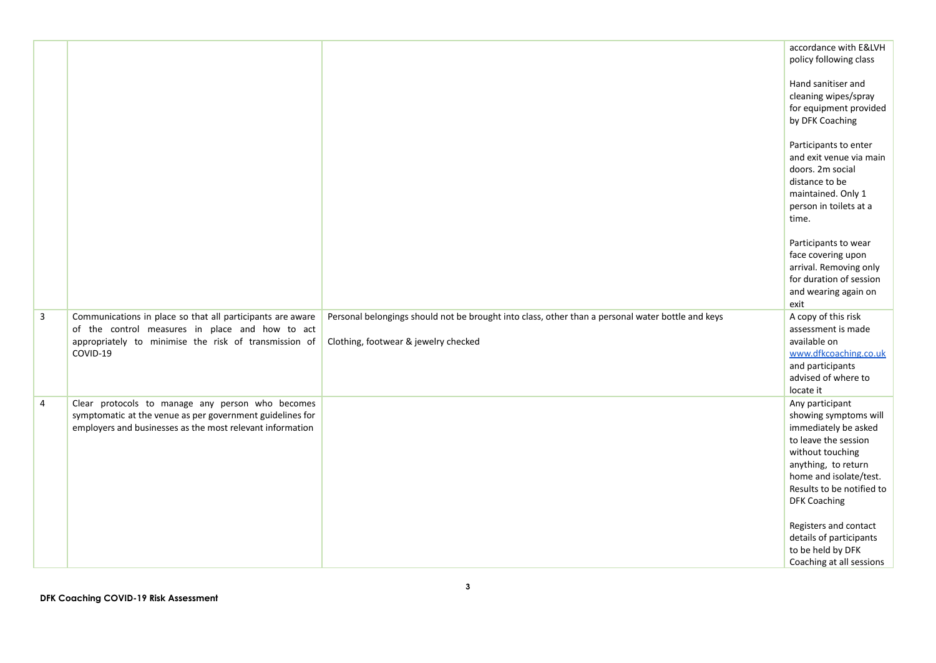|                |                                                                                                               |                                                                                                   | accordance with E&LVH<br>policy following class                                                                                                 |
|----------------|---------------------------------------------------------------------------------------------------------------|---------------------------------------------------------------------------------------------------|-------------------------------------------------------------------------------------------------------------------------------------------------|
|                |                                                                                                               |                                                                                                   | Hand sanitiser and<br>cleaning wipes/spray<br>for equipment provided<br>by DFK Coaching                                                         |
|                |                                                                                                               |                                                                                                   | Participants to enter<br>and exit venue via main<br>doors. 2m social<br>distance to be<br>maintained. Only 1<br>person in toilets at a<br>time. |
|                |                                                                                                               |                                                                                                   | Participants to wear<br>face covering upon<br>arrival. Removing only<br>for duration of session<br>and wearing again on<br>exit                 |
| $\mathbf{3}$   | Communications in place so that all participants are aware<br>of the control measures in place and how to act | Personal belongings should not be brought into class, other than a personal water bottle and keys | A copy of this risk<br>assessment is made                                                                                                       |
|                | appropriately to minimise the risk of transmission of                                                         | Clothing, footwear & jewelry checked                                                              | available on                                                                                                                                    |
|                | COVID-19                                                                                                      |                                                                                                   | www.dfkcoaching.co.uk<br>and participants                                                                                                       |
|                |                                                                                                               |                                                                                                   | advised of where to<br>locate it                                                                                                                |
| $\overline{4}$ | Clear protocols to manage any person who becomes<br>symptomatic at the venue as per government guidelines for |                                                                                                   | Any participant<br>showing symptoms will                                                                                                        |
|                | employers and businesses as the most relevant information                                                     |                                                                                                   | immediately be asked<br>to leave the session                                                                                                    |
|                |                                                                                                               |                                                                                                   | without touching<br>anything, to return                                                                                                         |
|                |                                                                                                               |                                                                                                   | home and isolate/test.                                                                                                                          |
|                |                                                                                                               |                                                                                                   | Results to be notified to<br><b>DFK Coaching</b>                                                                                                |
|                |                                                                                                               |                                                                                                   | Registers and contact                                                                                                                           |
|                |                                                                                                               |                                                                                                   | details of participants<br>to be held by DFK                                                                                                    |
|                |                                                                                                               |                                                                                                   | Coaching at all sessions                                                                                                                        |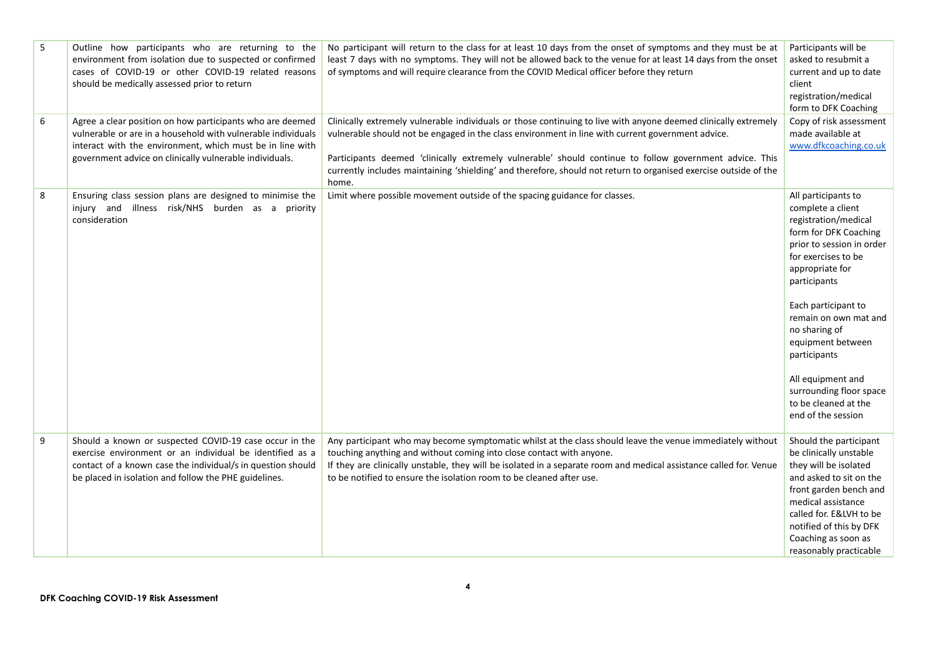| 5 | Outline how participants who are returning to the<br>environment from isolation due to suspected or confirmed<br>cases of COVID-19 or other COVID-19 related reasons<br>should be medically assessed prior to return                              | No participant will return to the class for at least 10 days from the onset of symptoms and they must be at<br>least 7 days with no symptoms. They will not be allowed back to the venue for at least 14 days from the onset<br>of symptoms and will require clearance from the COVID Medical officer before they return                                                                                                                                     | Participants will be<br>asked to resubmit a<br>current and up to date<br>client<br>registration/medical<br>form to DFK Coaching                                                                                                                                                                                                                                                      |
|---|---------------------------------------------------------------------------------------------------------------------------------------------------------------------------------------------------------------------------------------------------|--------------------------------------------------------------------------------------------------------------------------------------------------------------------------------------------------------------------------------------------------------------------------------------------------------------------------------------------------------------------------------------------------------------------------------------------------------------|--------------------------------------------------------------------------------------------------------------------------------------------------------------------------------------------------------------------------------------------------------------------------------------------------------------------------------------------------------------------------------------|
| 6 | Agree a clear position on how participants who are deemed<br>vulnerable or are in a household with vulnerable individuals<br>interact with the environment, which must be in line with<br>government advice on clinically vulnerable individuals. | Clinically extremely vulnerable individuals or those continuing to live with anyone deemed clinically extremely<br>vulnerable should not be engaged in the class environment in line with current government advice.<br>Participants deemed 'clinically extremely vulnerable' should continue to follow government advice. This<br>currently includes maintaining 'shielding' and therefore, should not return to organised exercise outside of the<br>home. | Copy of risk assessment<br>made available at<br>www.dfkcoaching.co.uk                                                                                                                                                                                                                                                                                                                |
| 8 | Ensuring class session plans are designed to minimise the<br>injury and illness risk/NHS burden as a priority<br>consideration                                                                                                                    | Limit where possible movement outside of the spacing guidance for classes.                                                                                                                                                                                                                                                                                                                                                                                   | All participants to<br>complete a client<br>registration/medical<br>form for DFK Coaching<br>prior to session in order<br>for exercises to be<br>appropriate for<br>participants<br>Each participant to<br>remain on own mat and<br>no sharing of<br>equipment between<br>participants<br>All equipment and<br>surrounding floor space<br>to be cleaned at the<br>end of the session |
| 9 | Should a known or suspected COVID-19 case occur in the<br>exercise environment or an individual be identified as a<br>contact of a known case the individual/s in question should<br>be placed in isolation and follow the PHE guidelines.        | Any participant who may become symptomatic whilst at the class should leave the venue immediately without<br>touching anything and without coming into close contact with anyone.<br>If they are clinically unstable, they will be isolated in a separate room and medical assistance called for. Venue<br>to be notified to ensure the isolation room to be cleaned after use.                                                                              | Should the participant<br>be clinically unstable<br>they will be isolated<br>and asked to sit on the<br>front garden bench and<br>medical assistance<br>called for. E&LVH to be<br>notified of this by DFK<br>Coaching as soon as<br>reasonably practicable                                                                                                                          |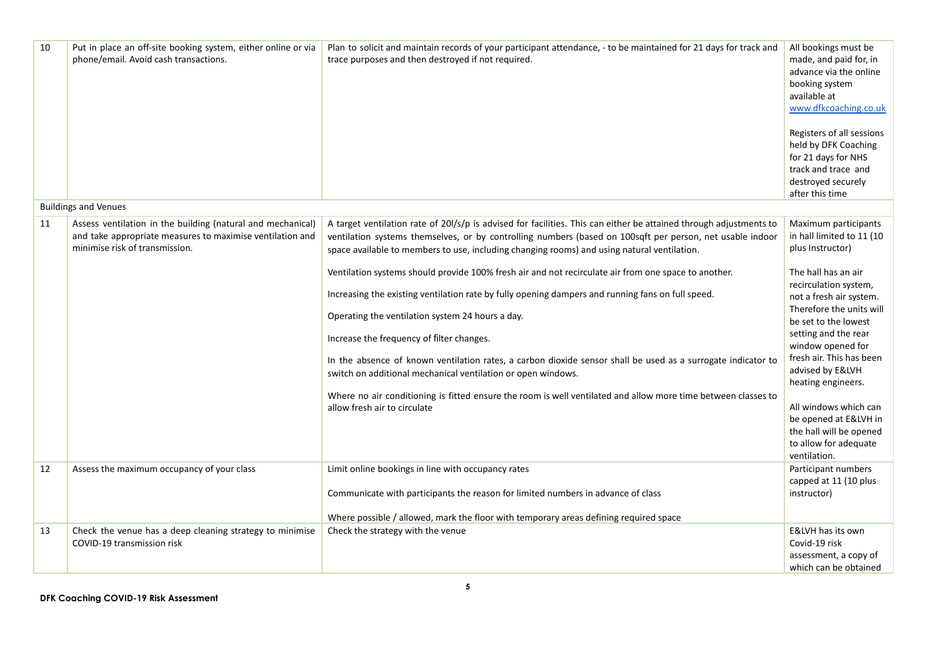| 10 | Put in place an off-site booking system, either online or via<br>phone/email. Avoid cash transactions.                                                     | Plan to solicit and maintain records of your participant attendance, - to be maintained for 21 days for track and<br>trace purposes and then destroyed if not required.                                                                                                                                                                                                                                                                                                                                                                     | All bookings must be<br>made, and paid for, in<br>advance via the online<br>booking system<br>available at<br>www.dfkcoaching.co.uk<br>Registers of all sessions<br>held by DFK Coaching<br>for 21 days for NHS<br>track and trace and<br>destroyed securely<br>after this time |
|----|------------------------------------------------------------------------------------------------------------------------------------------------------------|---------------------------------------------------------------------------------------------------------------------------------------------------------------------------------------------------------------------------------------------------------------------------------------------------------------------------------------------------------------------------------------------------------------------------------------------------------------------------------------------------------------------------------------------|---------------------------------------------------------------------------------------------------------------------------------------------------------------------------------------------------------------------------------------------------------------------------------|
|    | <b>Buildings and Venues</b>                                                                                                                                |                                                                                                                                                                                                                                                                                                                                                                                                                                                                                                                                             |                                                                                                                                                                                                                                                                                 |
| 11 | Assess ventilation in the building (natural and mechanical)<br>and take appropriate measures to maximise ventilation and<br>minimise risk of transmission. | A target ventilation rate of 201/s/p is advised for facilities. This can either be attained through adjustments to<br>ventilation systems themselves, or by controlling numbers (based on 100sqft per person, net usable indoor<br>space available to members to use, including changing rooms) and using natural ventilation.<br>Ventilation systems should provide 100% fresh air and not recirculate air from one space to another.<br>Increasing the existing ventilation rate by fully opening dampers and running fans on full speed. | Maximum participants<br>in hall limited to 11 (10<br>plus Instructor)<br>The hall has an air<br>recirculation system,<br>not a fresh air system.<br>Therefore the units will                                                                                                    |
|    |                                                                                                                                                            | Operating the ventilation system 24 hours a day.<br>Increase the frequency of filter changes.                                                                                                                                                                                                                                                                                                                                                                                                                                               | be set to the lowest<br>setting and the rear<br>window opened for                                                                                                                                                                                                               |
|    |                                                                                                                                                            | In the absence of known ventilation rates, a carbon dioxide sensor shall be used as a surrogate indicator to<br>switch on additional mechanical ventilation or open windows.                                                                                                                                                                                                                                                                                                                                                                | fresh air. This has been<br>advised by E&LVH<br>heating engineers.                                                                                                                                                                                                              |
|    |                                                                                                                                                            | Where no air conditioning is fitted ensure the room is well ventilated and allow more time between classes to<br>allow fresh air to circulate                                                                                                                                                                                                                                                                                                                                                                                               | All windows which can<br>be opened at E&LVH in<br>the hall will be opened<br>to allow for adequate<br>ventilation.                                                                                                                                                              |
| 12 | Assess the maximum occupancy of your class                                                                                                                 | Limit online bookings in line with occupancy rates<br>Communicate with participants the reason for limited numbers in advance of class                                                                                                                                                                                                                                                                                                                                                                                                      | Participant numbers<br>capped at 11 (10 plus<br>instructor)                                                                                                                                                                                                                     |
|    |                                                                                                                                                            | Where possible / allowed, mark the floor with temporary areas defining required space                                                                                                                                                                                                                                                                                                                                                                                                                                                       |                                                                                                                                                                                                                                                                                 |
| 13 | Check the venue has a deep cleaning strategy to minimise<br>COVID-19 transmission risk                                                                     | Check the strategy with the venue                                                                                                                                                                                                                                                                                                                                                                                                                                                                                                           | E&LVH has its own<br>Covid-19 risk<br>assessment, a copy of<br>which can be obtained                                                                                                                                                                                            |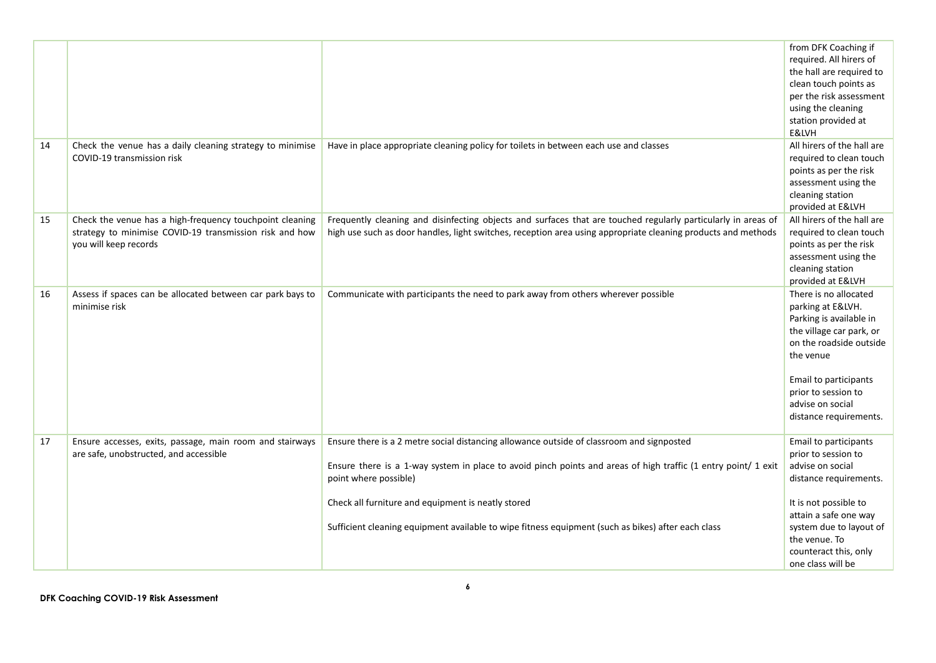|    |                                                                                                                                              |                                                                                                                                                                                                                                      | from DFK Coaching if<br>required. All hirers of<br>the hall are required to<br>clean touch points as<br>per the risk assessment<br>using the cleaning<br>station provided at<br>E&LVH                                                   |
|----|----------------------------------------------------------------------------------------------------------------------------------------------|--------------------------------------------------------------------------------------------------------------------------------------------------------------------------------------------------------------------------------------|-----------------------------------------------------------------------------------------------------------------------------------------------------------------------------------------------------------------------------------------|
| 14 | Check the venue has a daily cleaning strategy to minimise<br>COVID-19 transmission risk                                                      | Have in place appropriate cleaning policy for toilets in between each use and classes                                                                                                                                                | All hirers of the hall are<br>required to clean touch<br>points as per the risk<br>assessment using the<br>cleaning station<br>provided at E&LVH                                                                                        |
| 15 | Check the venue has a high-frequency touchpoint cleaning<br>strategy to minimise COVID-19 transmission risk and how<br>you will keep records | Frequently cleaning and disinfecting objects and surfaces that are touched regularly particularly in areas of<br>high use such as door handles, light switches, reception area using appropriate cleaning products and methods       | All hirers of the hall are<br>required to clean touch<br>points as per the risk<br>assessment using the<br>cleaning station<br>provided at E&LVH                                                                                        |
| 16 | Assess if spaces can be allocated between car park bays to<br>minimise risk                                                                  | Communicate with participants the need to park away from others wherever possible                                                                                                                                                    | There is no allocated<br>parking at E&LVH.<br>Parking is available in<br>the village car park, or<br>on the roadside outside<br>the venue<br>Email to participants<br>prior to session to<br>advise on social<br>distance requirements. |
| 17 | Ensure accesses, exits, passage, main room and stairways<br>are safe, unobstructed, and accessible                                           | Ensure there is a 2 metre social distancing allowance outside of classroom and signposted<br>Ensure there is a 1-way system in place to avoid pinch points and areas of high traffic (1 entry point/ 1 exit<br>point where possible) | Email to participants<br>prior to session to<br>advise on social<br>distance requirements.                                                                                                                                              |
|    |                                                                                                                                              | Check all furniture and equipment is neatly stored<br>Sufficient cleaning equipment available to wipe fitness equipment (such as bikes) after each class                                                                             | It is not possible to<br>attain a safe one way<br>system due to layout of<br>the venue. To<br>counteract this, only<br>one class will be                                                                                                |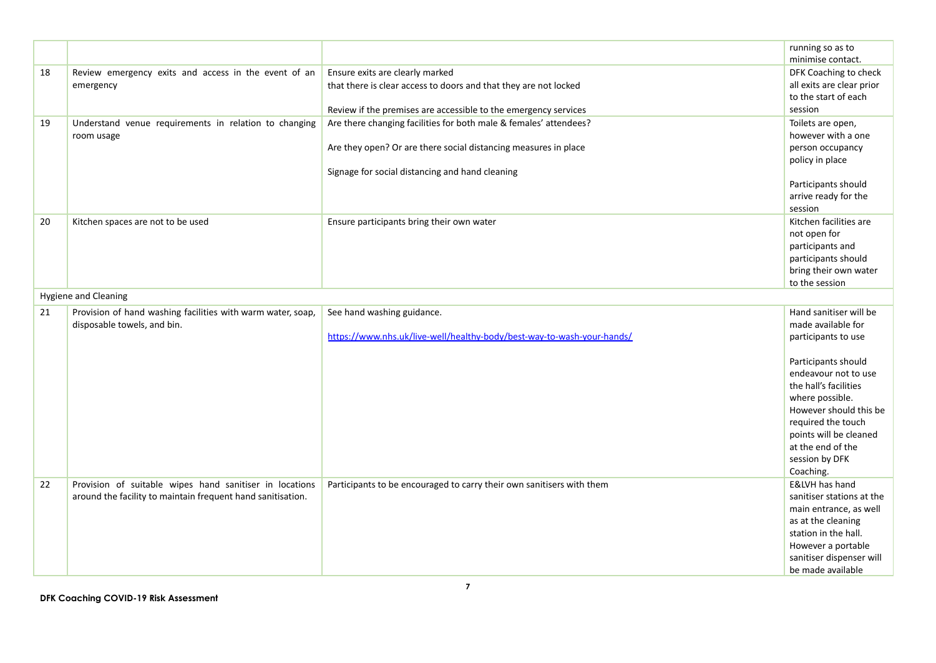|    |                                                             |                                                                        | running so as to          |
|----|-------------------------------------------------------------|------------------------------------------------------------------------|---------------------------|
|    |                                                             |                                                                        | minimise contact.         |
| 18 | Review emergency exits and access in the event of an        | Ensure exits are clearly marked                                        | DFK Coaching to check     |
|    | emergency                                                   | that there is clear access to doors and that they are not locked       | all exits are clear prior |
|    |                                                             |                                                                        | to the start of each      |
|    |                                                             | Review if the premises are accessible to the emergency services        | session                   |
| 19 | Understand venue requirements in relation to changing       | Are there changing facilities for both male & females' attendees?      | Toilets are open,         |
|    | room usage                                                  |                                                                        | however with a one        |
|    |                                                             | Are they open? Or are there social distancing measures in place        | person occupancy          |
|    |                                                             |                                                                        | policy in place           |
|    |                                                             | Signage for social distancing and hand cleaning                        |                           |
|    |                                                             |                                                                        | Participants should       |
|    |                                                             |                                                                        | arrive ready for the      |
|    |                                                             |                                                                        | session                   |
| 20 | Kitchen spaces are not to be used                           | Ensure participants bring their own water                              | Kitchen facilities are    |
|    |                                                             |                                                                        | not open for              |
|    |                                                             |                                                                        | participants and          |
|    |                                                             |                                                                        | participants should       |
|    |                                                             |                                                                        | bring their own water     |
|    |                                                             |                                                                        | to the session            |
|    | <b>Hygiene and Cleaning</b>                                 |                                                                        |                           |
| 21 | Provision of hand washing facilities with warm water, soap, | See hand washing guidance.                                             | Hand sanitiser will be    |
|    | disposable towels, and bin.                                 |                                                                        | made available for        |
|    |                                                             | https://www.nhs.uk/live-well/healthy-body/best-way-to-wash-your-hands/ | participants to use       |
|    |                                                             |                                                                        |                           |
|    |                                                             |                                                                        | Participants should       |
|    |                                                             |                                                                        | endeavour not to use      |
|    |                                                             |                                                                        | the hall's facilities     |
|    |                                                             |                                                                        | where possible.           |
|    |                                                             |                                                                        | However should this be    |
|    |                                                             |                                                                        | required the touch        |
|    |                                                             |                                                                        | points will be cleaned    |
|    |                                                             |                                                                        | at the end of the         |
|    |                                                             |                                                                        | session by DFK            |
|    |                                                             |                                                                        | Coaching.                 |
| 22 | Provision of suitable wipes hand sanitiser in locations     | Participants to be encouraged to carry their own sanitisers with them  | E&LVH has hand            |
|    | around the facility to maintain frequent hand sanitisation. |                                                                        | sanitiser stations at the |
|    |                                                             |                                                                        | main entrance, as well    |
|    |                                                             |                                                                        | as at the cleaning        |
|    |                                                             |                                                                        | station in the hall.      |
|    |                                                             |                                                                        | However a portable        |
|    |                                                             |                                                                        | sanitiser dispenser will  |
|    |                                                             |                                                                        | be made available         |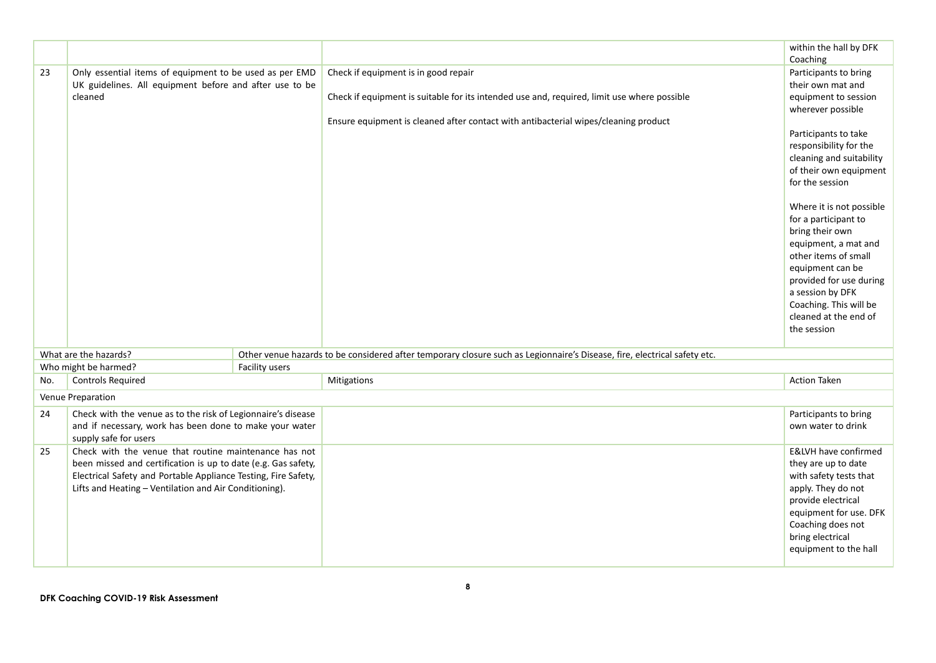|     |                                                                                                                                                                                                                                                    |                                                                                                                          | within the hall by DFK                                                                                                                                                                                                       |
|-----|----------------------------------------------------------------------------------------------------------------------------------------------------------------------------------------------------------------------------------------------------|--------------------------------------------------------------------------------------------------------------------------|------------------------------------------------------------------------------------------------------------------------------------------------------------------------------------------------------------------------------|
|     |                                                                                                                                                                                                                                                    |                                                                                                                          | Coaching                                                                                                                                                                                                                     |
| 23  | Only essential items of equipment to be used as per EMD                                                                                                                                                                                            | Check if equipment is in good repair                                                                                     | Participants to bring                                                                                                                                                                                                        |
|     | UK guidelines. All equipment before and after use to be                                                                                                                                                                                            |                                                                                                                          | their own mat and                                                                                                                                                                                                            |
|     | cleaned                                                                                                                                                                                                                                            | Check if equipment is suitable for its intended use and, required, limit use where possible                              | equipment to session                                                                                                                                                                                                         |
|     |                                                                                                                                                                                                                                                    | Ensure equipment is cleaned after contact with antibacterial wipes/cleaning product                                      | wherever possible                                                                                                                                                                                                            |
|     |                                                                                                                                                                                                                                                    |                                                                                                                          | Participants to take<br>responsibility for the<br>cleaning and suitability<br>of their own equipment<br>for the session<br>Where it is not possible                                                                          |
|     |                                                                                                                                                                                                                                                    |                                                                                                                          | for a participant to<br>bring their own<br>equipment, a mat and<br>other items of small<br>equipment can be<br>provided for use during<br>a session by DFK<br>Coaching. This will be<br>cleaned at the end of<br>the session |
|     | What are the hazards?                                                                                                                                                                                                                              | Other venue hazards to be considered after temporary closure such as Legionnaire's Disease, fire, electrical safety etc. |                                                                                                                                                                                                                              |
|     | Who might be harmed?<br>Facility users                                                                                                                                                                                                             |                                                                                                                          |                                                                                                                                                                                                                              |
| No. | <b>Controls Required</b>                                                                                                                                                                                                                           | Mitigations                                                                                                              | <b>Action Taken</b>                                                                                                                                                                                                          |
|     | Venue Preparation                                                                                                                                                                                                                                  |                                                                                                                          |                                                                                                                                                                                                                              |
| 24  | Check with the venue as to the risk of Legionnaire's disease<br>and if necessary, work has been done to make your water<br>supply safe for users                                                                                                   |                                                                                                                          | Participants to bring<br>own water to drink                                                                                                                                                                                  |
| 25  | Check with the venue that routine maintenance has not<br>been missed and certification is up to date (e.g. Gas safety,<br>Electrical Safety and Portable Appliance Testing, Fire Safety,<br>Lifts and Heating - Ventilation and Air Conditioning). |                                                                                                                          | E&LVH have confirmed<br>they are up to date<br>with safety tests that<br>apply. They do not<br>provide electrical<br>equipment for use. DFK<br>Coaching does not<br>bring electrical                                         |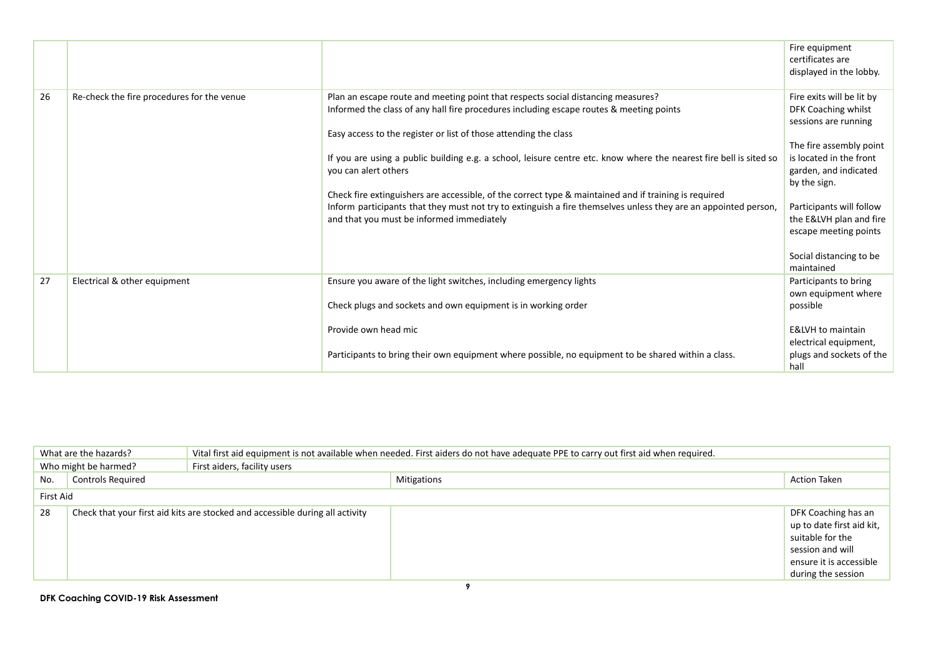|    |                                            |                                                                                                                                                                                                                                                                       | Fire equipment<br>certificates are<br>displayed in the lobby.                                       |
|----|--------------------------------------------|-----------------------------------------------------------------------------------------------------------------------------------------------------------------------------------------------------------------------------------------------------------------------|-----------------------------------------------------------------------------------------------------|
| 26 | Re-check the fire procedures for the venue | Plan an escape route and meeting point that respects social distancing measures?<br>Informed the class of any hall fire procedures including escape routes & meeting points<br>Easy access to the register or list of those attending the class                       | Fire exits will be lit by<br>DFK Coaching whilst<br>sessions are running<br>The fire assembly point |
|    |                                            | If you are using a public building e.g. a school, leisure centre etc. know where the nearest fire bell is sited so<br>you can alert others                                                                                                                            | is located in the front<br>garden, and indicated<br>by the sign.                                    |
|    |                                            | Check fire extinguishers are accessible, of the correct type & maintained and if training is required<br>Inform participants that they must not try to extinguish a fire themselves unless they are an appointed person,<br>and that you must be informed immediately | Participants will follow<br>the E&LVH plan and fire<br>escape meeting points                        |
|    |                                            |                                                                                                                                                                                                                                                                       | Social distancing to be<br>maintained                                                               |
| 27 | Electrical & other equipment               | Ensure you aware of the light switches, including emergency lights                                                                                                                                                                                                    | Participants to bring<br>own equipment where                                                        |
|    |                                            | Check plugs and sockets and own equipment is in working order                                                                                                                                                                                                         | possible                                                                                            |
|    |                                            | Provide own head mic                                                                                                                                                                                                                                                  | <b>E&amp;LVH</b> to maintain                                                                        |
|    |                                            | Participants to bring their own equipment where possible, no equipment to be shared within a class.                                                                                                                                                                   | electrical equipment,<br>plugs and sockets of the<br>hall                                           |

| What are the hazards? |                          | Vital first aid equipment is not available when needed. First aiders do not have adequate PPE to carry out first aid when required. |                    |                                                                                                                                           |
|-----------------------|--------------------------|-------------------------------------------------------------------------------------------------------------------------------------|--------------------|-------------------------------------------------------------------------------------------------------------------------------------------|
|                       | Who might be harmed?     | First aiders, facility users                                                                                                        |                    |                                                                                                                                           |
| No.                   | <b>Controls Required</b> |                                                                                                                                     | <b>Mitigations</b> | <b>Action Taken</b>                                                                                                                       |
|                       | First Aid                |                                                                                                                                     |                    |                                                                                                                                           |
| 28                    |                          | Check that your first aid kits are stocked and accessible during all activity                                                       |                    | DFK Coaching has an<br>up to date first aid kit,<br>suitable for the<br>session and will<br>ensure it is accessible<br>during the session |